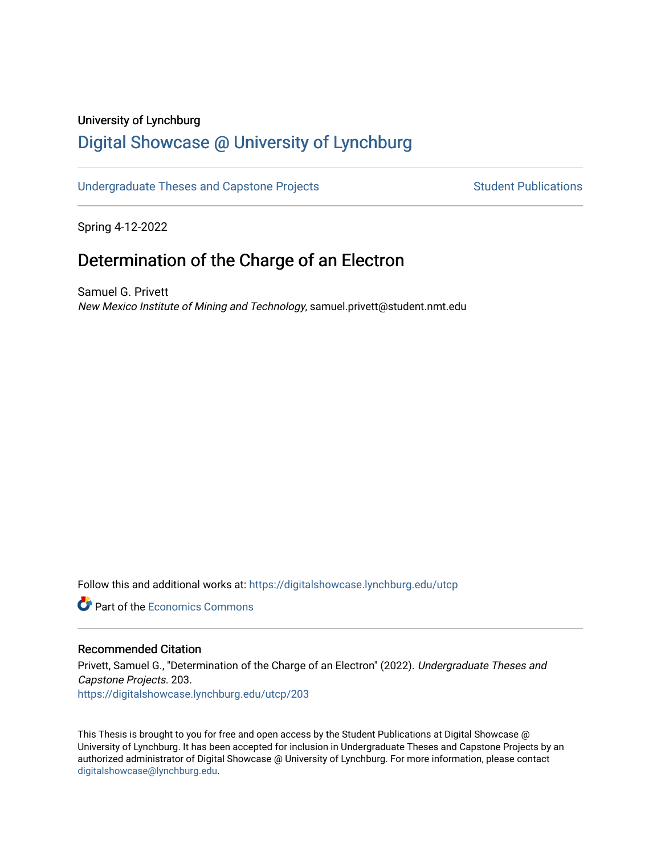#### University of Lynchburg

# [Digital Showcase @ University of Lynchburg](https://digitalshowcase.lynchburg.edu/)

### [Undergraduate Theses and Capstone Projects](https://digitalshowcase.lynchburg.edu/utcp) Student Publications

Spring 4-12-2022

## Determination of the Charge of an Electron

Samuel G. Privett New Mexico Institute of Mining and Technology, samuel.privett@student.nmt.edu

Follow this and additional works at: [https://digitalshowcase.lynchburg.edu/utcp](https://digitalshowcase.lynchburg.edu/utcp?utm_source=digitalshowcase.lynchburg.edu%2Futcp%2F203&utm_medium=PDF&utm_campaign=PDFCoverPages)

**C** Part of the [Economics Commons](https://network.bepress.com/hgg/discipline/340?utm_source=digitalshowcase.lynchburg.edu%2Futcp%2F203&utm_medium=PDF&utm_campaign=PDFCoverPages)

#### Recommended Citation

Privett, Samuel G., "Determination of the Charge of an Electron" (2022). Undergraduate Theses and Capstone Projects. 203. [https://digitalshowcase.lynchburg.edu/utcp/203](https://digitalshowcase.lynchburg.edu/utcp/203?utm_source=digitalshowcase.lynchburg.edu%2Futcp%2F203&utm_medium=PDF&utm_campaign=PDFCoverPages)

This Thesis is brought to you for free and open access by the Student Publications at Digital Showcase @ University of Lynchburg. It has been accepted for inclusion in Undergraduate Theses and Capstone Projects by an authorized administrator of Digital Showcase @ University of Lynchburg. For more information, please contact [digitalshowcase@lynchburg.edu](mailto:digitalshowcase@lynchburg.edu).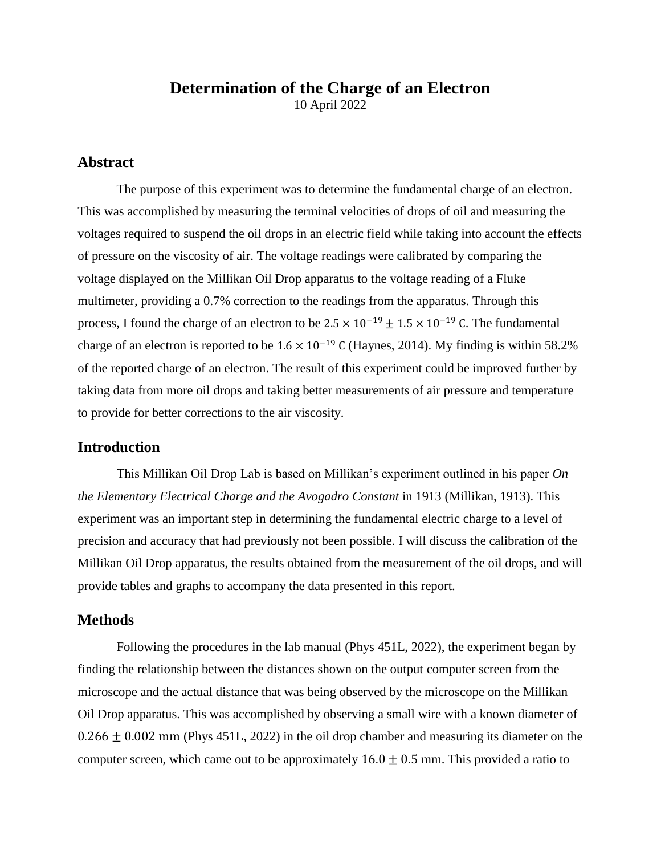## **Determination of the Charge of an Electron**

10 April 2022

## **Abstract**

The purpose of this experiment was to determine the fundamental charge of an electron. This was accomplished by measuring the terminal velocities of drops of oil and measuring the voltages required to suspend the oil drops in an electric field while taking into account the effects of pressure on the viscosity of air. The voltage readings were calibrated by comparing the voltage displayed on the Millikan Oil Drop apparatus to the voltage reading of a Fluke multimeter, providing a 0.7% correction to the readings from the apparatus. Through this process, I found the charge of an electron to be  $2.5 \times 10^{-19} \pm 1.5 \times 10^{-19}$  C. The fundamental charge of an electron is reported to be  $1.6 \times 10^{-19}$  C (Haynes, 2014). My finding is within 58.2% of the reported charge of an electron. The result of this experiment could be improved further by taking data from more oil drops and taking better measurements of air pressure and temperature to provide for better corrections to the air viscosity.

## **Introduction**

This Millikan Oil Drop Lab is based on Millikan's experiment outlined in his paper *On the Elementary Electrical Charge and the Avogadro Constant* in 1913 (Millikan, 1913). This experiment was an important step in determining the fundamental electric charge to a level of precision and accuracy that had previously not been possible. I will discuss the calibration of the Millikan Oil Drop apparatus, the results obtained from the measurement of the oil drops, and will provide tables and graphs to accompany the data presented in this report.

### **Methods**

Following the procedures in the lab manual (Phys 451L, 2022), the experiment began by finding the relationship between the distances shown on the output computer screen from the microscope and the actual distance that was being observed by the microscope on the Millikan Oil Drop apparatus. This was accomplished by observing a small wire with a known diameter of  $0.266 \pm 0.002$  mm (Phys 451L, 2022) in the oil drop chamber and measuring its diameter on the computer screen, which came out to be approximately  $16.0 \pm 0.5$  mm. This provided a ratio to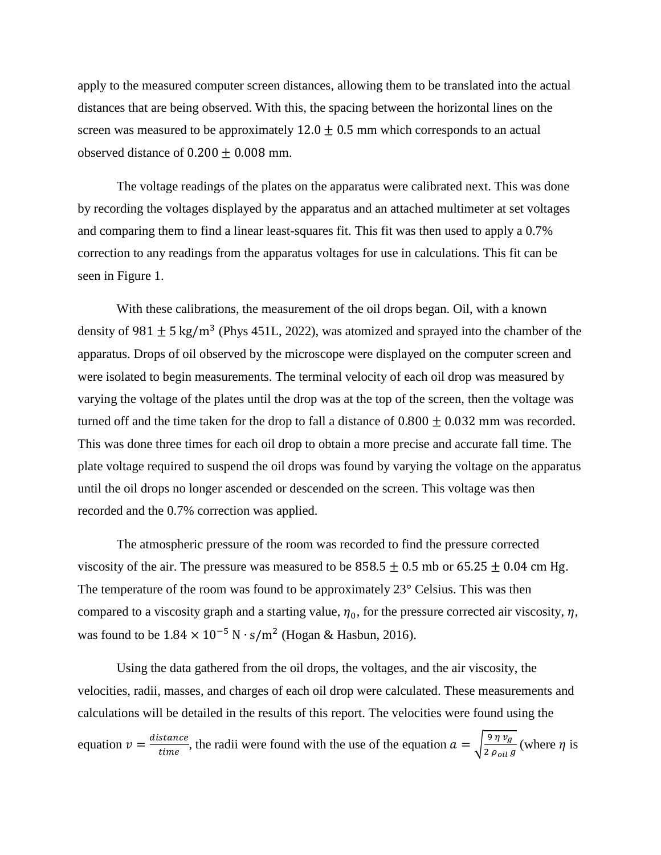apply to the measured computer screen distances, allowing them to be translated into the actual distances that are being observed. With this, the spacing between the horizontal lines on the screen was measured to be approximately  $12.0 \pm 0.5$  mm which corresponds to an actual observed distance of  $0.200 + 0.008$  mm.

The voltage readings of the plates on the apparatus were calibrated next. This was done by recording the voltages displayed by the apparatus and an attached multimeter at set voltages and comparing them to find a linear least-squares fit. This fit was then used to apply a 0.7% correction to any readings from the apparatus voltages for use in calculations. This fit can be seen in Figure 1.

With these calibrations, the measurement of the oil drops began. Oil, with a known density of 981  $\pm$  5 kg/m<sup>3</sup> (Phys 451L, 2022), was atomized and sprayed into the chamber of the apparatus. Drops of oil observed by the microscope were displayed on the computer screen and were isolated to begin measurements. The terminal velocity of each oil drop was measured by varying the voltage of the plates until the drop was at the top of the screen, then the voltage was turned off and the time taken for the drop to fall a distance of  $0.800 \pm 0.032$  mm was recorded. This was done three times for each oil drop to obtain a more precise and accurate fall time. The plate voltage required to suspend the oil drops was found by varying the voltage on the apparatus until the oil drops no longer ascended or descended on the screen. This voltage was then recorded and the 0.7% correction was applied.

The atmospheric pressure of the room was recorded to find the pressure corrected viscosity of the air. The pressure was measured to be  $858.5 \pm 0.5$  mb or  $65.25 \pm 0.04$  cm Hg. The temperature of the room was found to be approximately 23° Celsius. This was then compared to a viscosity graph and a starting value,  $\eta_0$ , for the pressure corrected air viscosity,  $\eta$ , was found to be  $1.84 \times 10^{-5}$  N  $\cdot$  s/m<sup>2</sup> (Hogan & Hasbun, 2016).

Using the data gathered from the oil drops, the voltages, and the air viscosity, the velocities, radii, masses, and charges of each oil drop were calculated. These measurements and calculations will be detailed in the results of this report. The velocities were found using the equation  $v = \frac{d}{dx}$  $\frac{stance}{time}$ , the radii were found with the use of the equation  $a = \sqrt{\frac{9}{2}}$  $\frac{\partial \eta \nu_g}{\partial \rho_{oil} g}$  (where  $\eta$  is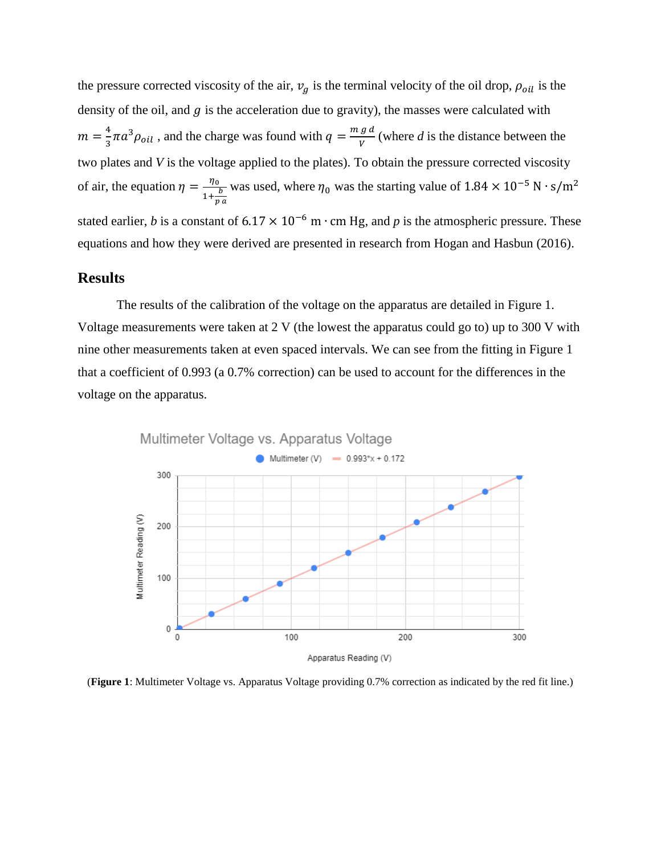the pressure corrected viscosity of the air,  $v_g$  is the terminal velocity of the oil drop,  $\rho_{oil}$  is the density of the oil, and  $g$  is the acceleration due to gravity), the masses were calculated with  $m=\frac{4}{3}$  $\frac{4}{3}\pi a^3 \rho_{oil}$  , and the charge was found with  $q = \frac{m}{2}$  $\frac{g}{v}$  (where *d* is the distance between the two plates and *V* is the voltage applied to the plates). To obtain the pressure corrected viscosity of air, the equation  $\eta = -\frac{\eta}{\eta}$  $1 + \frac{b}{a}$ p was used, where  $\eta_0$  was the starting value of stated earlier, *b* is a constant of  $6.17 \times 10^{-6}$  m  $\cdot$  cm Hg, and *p* is the atmospheric pressure. These equations and how they were derived are presented in research from Hogan and Hasbun (2016).

#### **Results**

The results of the calibration of the voltage on the apparatus are detailed in Figure 1. Voltage measurements were taken at 2 V (the lowest the apparatus could go to) up to 300 V with nine other measurements taken at even spaced intervals. We can see from the fitting in Figure 1 that a coefficient of 0.993 (a 0.7% correction) can be used to account for the differences in the voltage on the apparatus.



(**Figure 1**: Multimeter Voltage vs. Apparatus Voltage providing 0.7% correction as indicated by the red fit line.)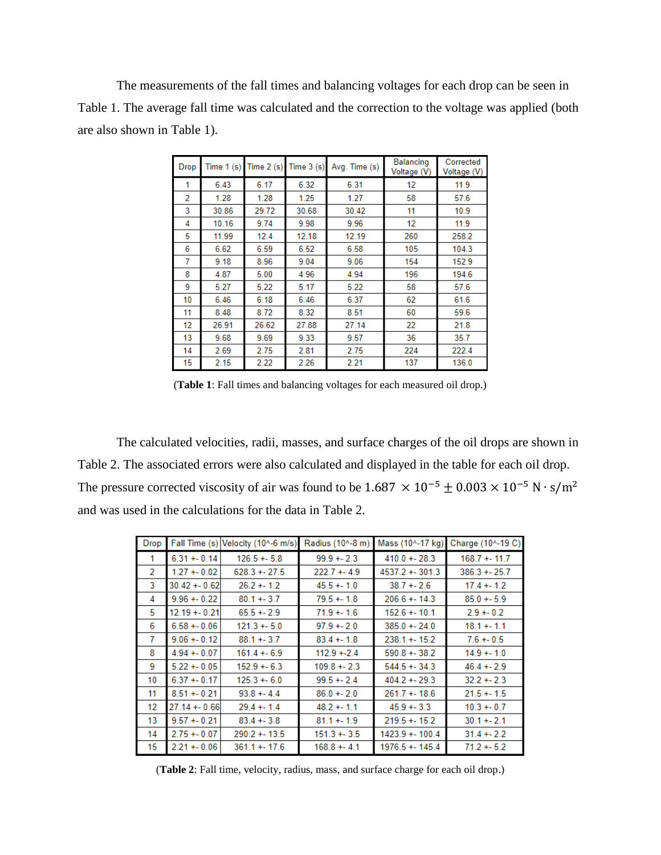The measurements of the fall times and balancing voltages for each drop can be seen in Table 1. The average fall time was calculated and the correction to the voltage was applied (both are also shown in Table 1).

| Drop | Time $1(s)$ | Time $2(s)$ | Time $3(s)$ | Avg. Time (s) | Balancing<br>Voltage (V) | Corrected<br>Voltage (V) |
|------|-------------|-------------|-------------|---------------|--------------------------|--------------------------|
| 1    | 6.43        | 6.17        | 6.32        | 6.31          | 12                       | 11.9                     |
| 2    | 1.28        | 1.28        | 1.25        | 1.27          | 58                       | 57.6                     |
| 3    | 30.86       | 29.72       | 30.68       | 30.42         | 11                       | 10.9                     |
| 4    | 10.16       | 9.74        | 9.98        | 9.96          | 12                       | 11.9                     |
| 5    | 11.99       | 12.4        | 12.18       | 12.19         | 260                      | 258.2                    |
| 6    | 6.62        | 6.59        | 6.52        | 6.58          | 105                      | 104.3                    |
| 7    | 9.18        | 8.96        | 9.04        | 9.06          | 154                      | 152.9                    |
| 8    | 4.87        | 5.00        | 4.96        | 4.94          | 196                      | 194.6                    |
| 9    | 5.27        | 5.22        | 5.17        | 5.22          | 58                       | 57.6                     |
| 10   | 6.46        | 6.18        | 6.46        | 6.37          | 62                       | 61.6                     |
| 11   | 8.48        | 8.72        | 8.32        | 8.51          | 60                       | 59.6                     |
| 12   | 26.91       | 26.62       | 27.88       | 27.14         | 22                       | 21.8                     |
| 13   | 9.68        | 9.69        | 9.33        | 9.57          | 36                       | 35.7                     |
| 14   | 2.69        | 2.75        | 2.81        | 2.75          | 224                      | 222.4                    |
| 15   | 2.15        | 2.22        | 2.26        | 2.21          | 137                      | 136.0                    |

(**Table 1**: Fall times and balancing voltages for each measured oil drop.)

The calculated velocities, radii, masses, and surface charges of the oil drops are shown in Table 2. The associated errors were also calculated and displayed in the table for each oil drop. The pressure corrected viscosity of air was found to be  $1.687 \times 10^{-5} \pm 0.003 \times 10^{-5} \text{ N} \cdot \text{s/m}^2$ and was used in the calculations for the data in Table 2.

| <b>Drop</b> | Fall Time (s)  | Velocity (10^-6 m/s) | Radius (10^-8 m) | Mass (10^-17 kg) | Charge (10^-19 C) |
|-------------|----------------|----------------------|------------------|------------------|-------------------|
| 1           | $6.31 + 0.14$  | $126.5 + 5.8$        | $99.9 + 2.3$     | $410.0 + 28.3$   | $168.7 + 11.7$    |
| 2           | $1.27 + 0.02$  | $628.3 + 27.5$       | $222.7 + 4.9$    | $4537.2 + 301.3$ | $386.3 + 25.7$    |
| 3           | $30.42 + 0.62$ | $26.2 + 1.2$         | $45.5 + 1.0$     | $38.7 + 2.6$     | $17.4 + 1.2$      |
| 4           | $9.96 + 0.22$  | $80.1 + 3.7$         | $79.5 + 1.8$     | $206.6 + 14.3$   | $85.0 + 5.9$      |
| 5           | $12.19 + 0.21$ | $65.5 + 2.9$         | $71.9 + 1.6$     | $152.6 + 10.1$   | $2.9 + 0.2$       |
| 6           | $6.58 + 0.06$  | $121.3 + 5.0$        | $97.9 + 2.0$     | $385.0 + 24.0$   | $18.1 + 1.1$      |
| 7           | $9.06 + 0.12$  | $88.1 + 3.7$         | $83.4 + 1.8$     | $238.1 + 15.2$   | $7.6 + 0.5$       |
| 8           | $4.94 + 0.07$  | $161.4 + 6.9$        | $112.9 + 2.4$    | $590.8 + 38.2$   | $14.9 + 1.0$      |
| 9           | $5.22 + 0.05$  | $152.9 + 6.3$        | $109.8 + 2.3$    | $544.5 + 34.3$   | $46.4 + 2.9$      |
| 10          | $6.37 + 0.17$  | $125.3 + 6.0$        | $99.5 + 2.4$     | $404.2 + 29.3$   | $32.2 + 2.3$      |
| 11          | $8.51 + 0.21$  | $93.8 + -4.4$        | $86.0 + 2.0$     | $261.7 + 18.6$   | $21.5 + 1.5$      |
| 12          | $27.14 + 0.66$ | $29.4 + 1.4$         | $48.2 + 1.1$     | $45.9 + 3.3$     | $10.3 + 0.7$      |
| 13          | $9.57 + 0.21$  | $83.4 + 3.8$         | $81.1 + 1.9$     | $219.5 + 15.2$   | $30.1 + 2.1$      |
| 14          | $2.75 + 0.07$  | $290.2 + 13.5$       | $151.3 + 3.5$    | 1423.9 + - 100.4 | $31.4 + 2.2$      |
| 15          | $2.21 + 0.06$  | $361.1 + 17.6$       | $168.8 + 4.1$    | 1976.5 + - 145.4 | $71.2 + 5.2$      |

(**Table 2**: Fall time, velocity, radius, mass, and surface charge for each oil drop.)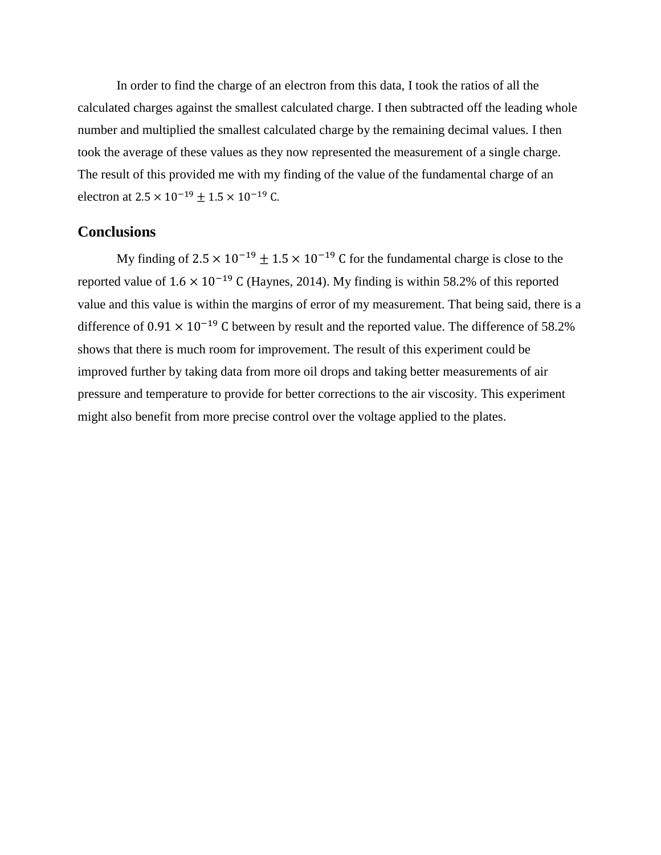In order to find the charge of an electron from this data, I took the ratios of all the calculated charges against the smallest calculated charge. I then subtracted off the leading whole number and multiplied the smallest calculated charge by the remaining decimal values. I then took the average of these values as they now represented the measurement of a single charge. The result of this provided me with my finding of the value of the fundamental charge of an electron at  $2.5 \times 10^{-19} \pm 1.5 \times 10^{-19}$  C.

### **Conclusions**

My finding of  $2.5 \times 10^{-19} \pm 1.5 \times 10^{-19}$  C for the fundamental charge is close to the reported value of  $1.6 \times 10^{-19}$  C (Haynes, 2014). My finding is within 58.2% of this reported value and this value is within the margins of error of my measurement. That being said, there is a difference of  $0.91 \times 10^{-19}$  C between by result and the reported value. The difference of 58.2% shows that there is much room for improvement. The result of this experiment could be improved further by taking data from more oil drops and taking better measurements of air pressure and temperature to provide for better corrections to the air viscosity. This experiment might also benefit from more precise control over the voltage applied to the plates.